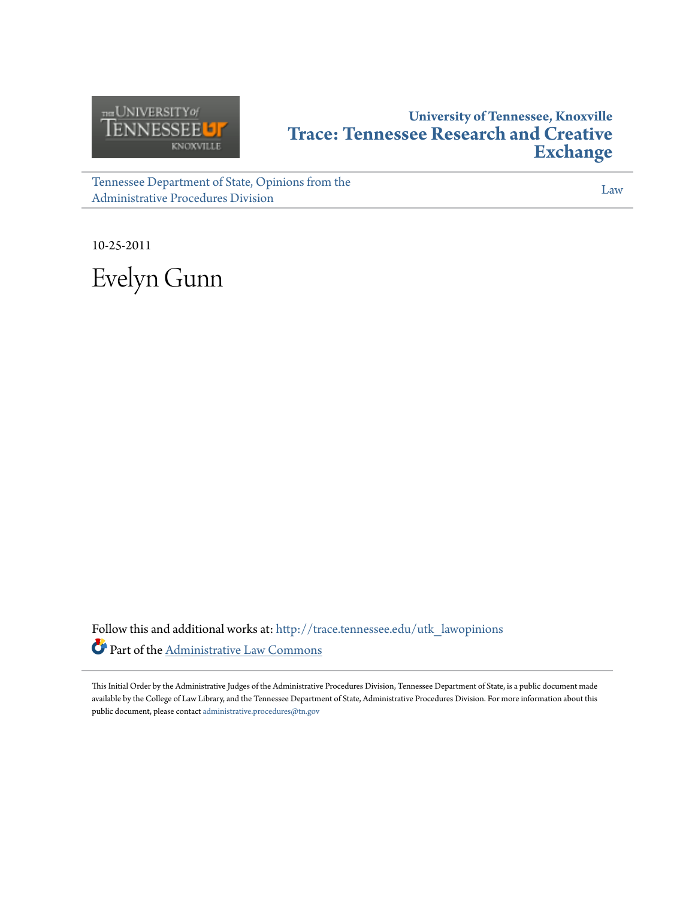

# **University of Tennessee, Knoxville [Trace: Tennessee Research and Creative](http://trace.tennessee.edu?utm_source=trace.tennessee.edu%2Futk_lawopinions%2F1720&utm_medium=PDF&utm_campaign=PDFCoverPages) [Exchange](http://trace.tennessee.edu?utm_source=trace.tennessee.edu%2Futk_lawopinions%2F1720&utm_medium=PDF&utm_campaign=PDFCoverPages)**

[Tennessee Department of State, Opinions from the](http://trace.tennessee.edu/utk_lawopinions?utm_source=trace.tennessee.edu%2Futk_lawopinions%2F1720&utm_medium=PDF&utm_campaign=PDFCoverPages) [Administrative Procedures Division](http://trace.tennessee.edu/utk_lawopinions?utm_source=trace.tennessee.edu%2Futk_lawopinions%2F1720&utm_medium=PDF&utm_campaign=PDFCoverPages)

[Law](http://trace.tennessee.edu/utk-law?utm_source=trace.tennessee.edu%2Futk_lawopinions%2F1720&utm_medium=PDF&utm_campaign=PDFCoverPages)

10-25-2011 Evelyn Gunn

Follow this and additional works at: [http://trace.tennessee.edu/utk\\_lawopinions](http://trace.tennessee.edu/utk_lawopinions?utm_source=trace.tennessee.edu%2Futk_lawopinions%2F1720&utm_medium=PDF&utm_campaign=PDFCoverPages) Part of the [Administrative Law Commons](http://network.bepress.com/hgg/discipline/579?utm_source=trace.tennessee.edu%2Futk_lawopinions%2F1720&utm_medium=PDF&utm_campaign=PDFCoverPages)

This Initial Order by the Administrative Judges of the Administrative Procedures Division, Tennessee Department of State, is a public document made available by the College of Law Library, and the Tennessee Department of State, Administrative Procedures Division. For more information about this public document, please contact [administrative.procedures@tn.gov](mailto:administrative.procedures@tn.gov)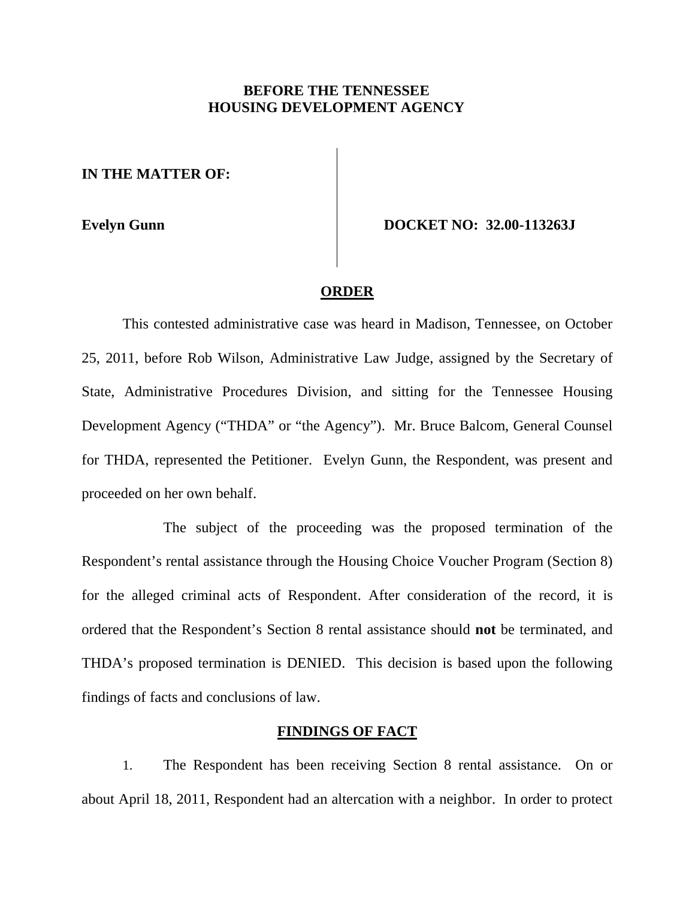# **BEFORE THE TENNESSEE HOUSING DEVELOPMENT AGENCY**

**IN THE MATTER OF:**

**Evelyn Gunn DOCKET NO: 32.00-113263J**

#### **ORDER**

This contested administrative case was heard in Madison, Tennessee, on October 25, 2011, before Rob Wilson, Administrative Law Judge, assigned by the Secretary of State, Administrative Procedures Division, and sitting for the Tennessee Housing Development Agency ("THDA" or "the Agency"). Mr. Bruce Balcom, General Counsel for THDA, represented the Petitioner. Evelyn Gunn, the Respondent, was present and proceeded on her own behalf.

The subject of the proceeding was the proposed termination of the Respondent's rental assistance through the Housing Choice Voucher Program (Section 8) for the alleged criminal acts of Respondent. After consideration of the record, it is ordered that the Respondent's Section 8 rental assistance should **not** be terminated, and THDA's proposed termination is DENIED. This decision is based upon the following findings of facts and conclusions of law.

## **FINDINGS OF FACT**

1. The Respondent has been receiving Section 8 rental assistance. On or about April 18, 2011, Respondent had an altercation with a neighbor. In order to protect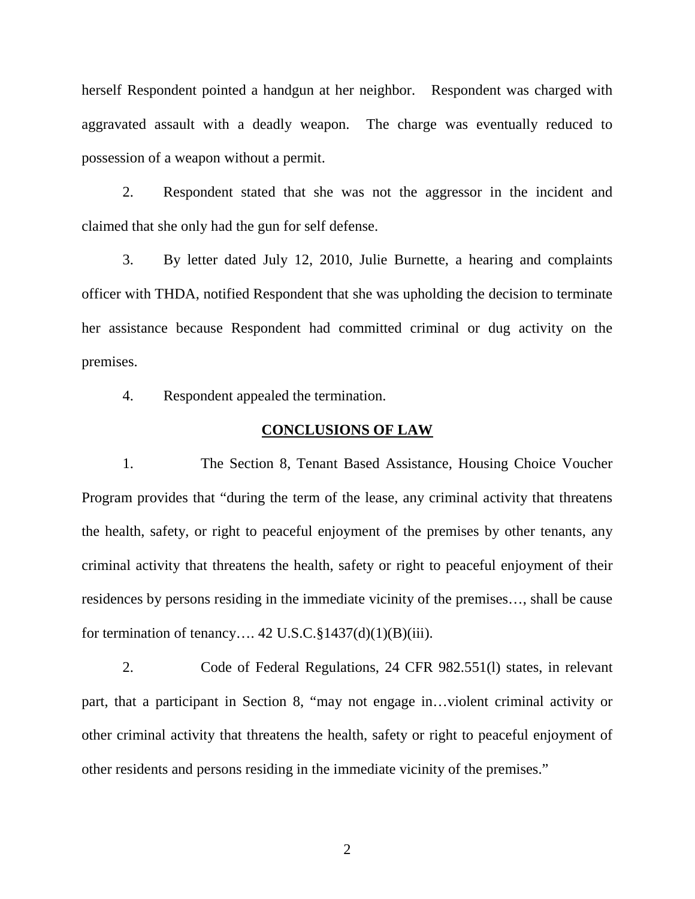herself Respondent pointed a handgun at her neighbor. Respondent was charged with aggravated assault with a deadly weapon. The charge was eventually reduced to possession of a weapon without a permit.

2. Respondent stated that she was not the aggressor in the incident and claimed that she only had the gun for self defense.

3. By letter dated July 12, 2010, Julie Burnette, a hearing and complaints officer with THDA, notified Respondent that she was upholding the decision to terminate her assistance because Respondent had committed criminal or dug activity on the premises.

4. Respondent appealed the termination.

### **CONCLUSIONS OF LAW**

1. The Section 8, Tenant Based Assistance, Housing Choice Voucher Program provides that "during the term of the lease, any criminal activity that threatens the health, safety, or right to peaceful enjoyment of the premises by other tenants, any criminal activity that threatens the health, safety or right to peaceful enjoyment of their residences by persons residing in the immediate vicinity of the premises…, shall be cause for termination of tenancy.... 42 U.S.C. $\S 1437(d)(1)(B)(iii)$ .

2. Code of Federal Regulations, 24 CFR 982.551(l) states, in relevant part, that a participant in Section 8, "may not engage in…violent criminal activity or other criminal activity that threatens the health, safety or right to peaceful enjoyment of other residents and persons residing in the immediate vicinity of the premises."

2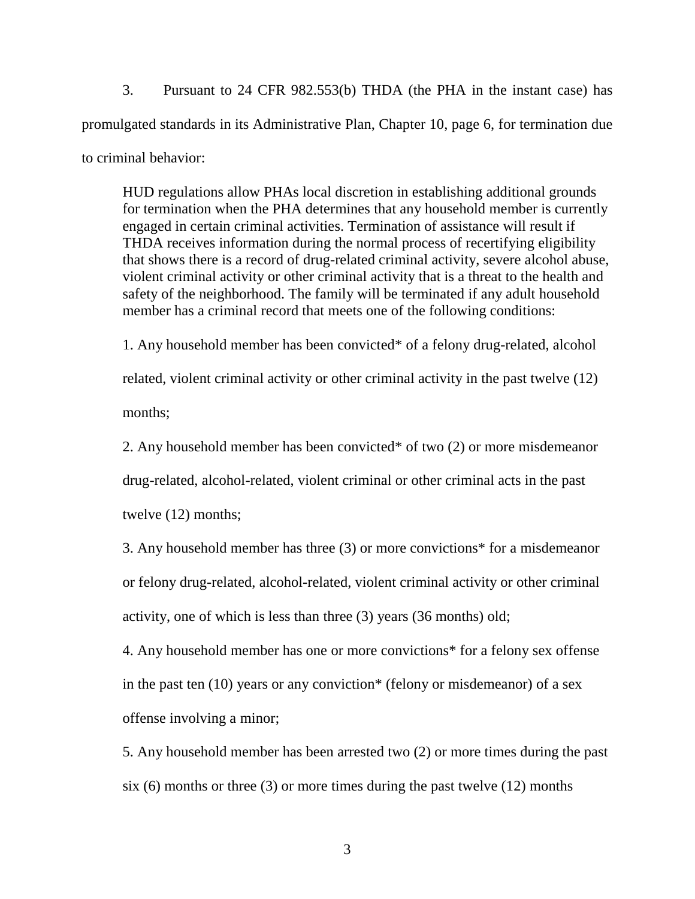3. Pursuant to 24 CFR 982.553(b) THDA (the PHA in the instant case) has promulgated standards in its Administrative Plan, Chapter 10, page 6, for termination due to criminal behavior:

HUD regulations allow PHAs local discretion in establishing additional grounds for termination when the PHA determines that any household member is currently engaged in certain criminal activities. Termination of assistance will result if THDA receives information during the normal process of recertifying eligibility that shows there is a record of drug-related criminal activity, severe alcohol abuse, violent criminal activity or other criminal activity that is a threat to the health and safety of the neighborhood. The family will be terminated if any adult household member has a criminal record that meets one of the following conditions:

1. Any household member has been convicted\* of a felony drug-related, alcohol related, violent criminal activity or other criminal activity in the past twelve (12) months;

2. Any household member has been convicted\* of two (2) or more misdemeanor drug-related, alcohol-related, violent criminal or other criminal acts in the past twelve (12) months;

3. Any household member has three (3) or more convictions\* for a misdemeanor or felony drug-related, alcohol-related, violent criminal activity or other criminal activity, one of which is less than three (3) years (36 months) old;

4. Any household member has one or more convictions\* for a felony sex offense in the past ten  $(10)$  years or any conviction\* (felony or misdemeanor) of a sex offense involving a minor;

5. Any household member has been arrested two (2) or more times during the past six  $(6)$  months or three  $(3)$  or more times during the past twelve  $(12)$  months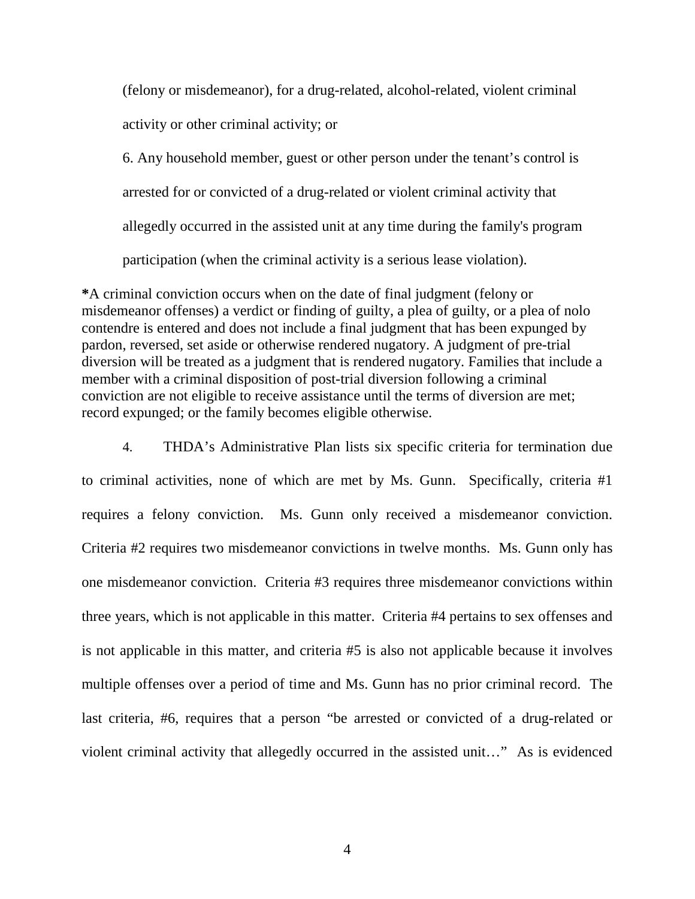(felony or misdemeanor), for a drug-related, alcohol-related, violent criminal activity or other criminal activity; or

6. Any household member, guest or other person under the tenant's control is arrested for or convicted of a drug-related or violent criminal activity that allegedly occurred in the assisted unit at any time during the family's program participation (when the criminal activity is a serious lease violation).

**\***A criminal conviction occurs when on the date of final judgment (felony or misdemeanor offenses) a verdict or finding of guilty, a plea of guilty, or a plea of nolo contendre is entered and does not include a final judgment that has been expunged by pardon, reversed, set aside or otherwise rendered nugatory. A judgment of pre-trial diversion will be treated as a judgment that is rendered nugatory. Families that include a member with a criminal disposition of post-trial diversion following a criminal conviction are not eligible to receive assistance until the terms of diversion are met; record expunged; or the family becomes eligible otherwise.

4. THDA's Administrative Plan lists six specific criteria for termination due to criminal activities, none of which are met by Ms. Gunn. Specifically, criteria #1 requires a felony conviction. Ms. Gunn only received a misdemeanor conviction. Criteria #2 requires two misdemeanor convictions in twelve months. Ms. Gunn only has one misdemeanor conviction. Criteria #3 requires three misdemeanor convictions within three years, which is not applicable in this matter. Criteria #4 pertains to sex offenses and is not applicable in this matter, and criteria #5 is also not applicable because it involves multiple offenses over a period of time and Ms. Gunn has no prior criminal record. The last criteria, #6, requires that a person "be arrested or convicted of a drug-related or violent criminal activity that allegedly occurred in the assisted unit…" As is evidenced